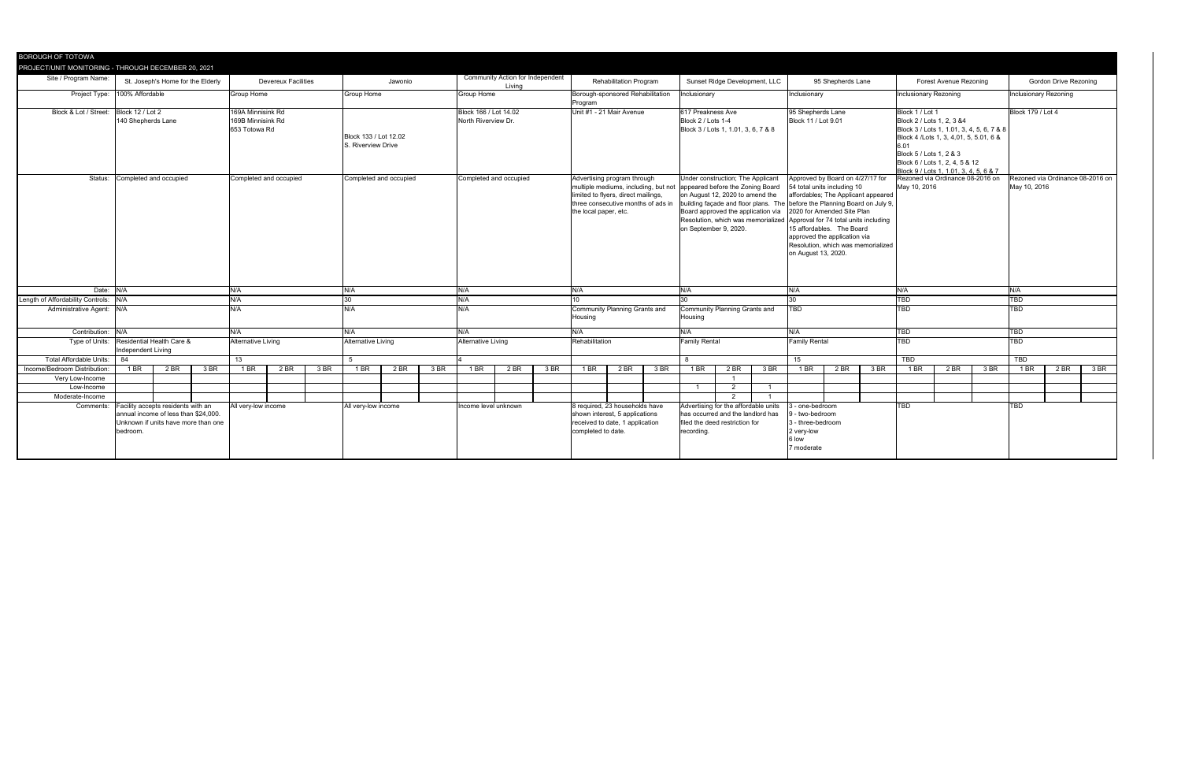| Site / Program Name:<br>St. Joseph's Home for the Elderly                                                                  |                                                 |                                                                                                                                                                                                |                        |                                                          | <b>Devereux Facilities</b><br>Jawonio       |                        |                                                            |      |                        |                                                                                                                     |                                                 |                                                                                                                                   |                                              |                                                                                                                                                                                                                                               |                                                                                                                                                                         |                                                                                                                 |                                                                                                                                                                                                                                     |                                                                                                                                                                                   |                                                                                                           |                           |                                                                                                                                                                                                                                                                 | <b>Gordon Drive Rezoning</b>                                                                                       |                                                                                                                                                              |                                                                        |        |  |
|----------------------------------------------------------------------------------------------------------------------------|-------------------------------------------------|------------------------------------------------------------------------------------------------------------------------------------------------------------------------------------------------|------------------------|----------------------------------------------------------|---------------------------------------------|------------------------|------------------------------------------------------------|------|------------------------|---------------------------------------------------------------------------------------------------------------------|-------------------------------------------------|-----------------------------------------------------------------------------------------------------------------------------------|----------------------------------------------|-----------------------------------------------------------------------------------------------------------------------------------------------------------------------------------------------------------------------------------------------|-------------------------------------------------------------------------------------------------------------------------------------------------------------------------|-----------------------------------------------------------------------------------------------------------------|-------------------------------------------------------------------------------------------------------------------------------------------------------------------------------------------------------------------------------------|-----------------------------------------------------------------------------------------------------------------------------------------------------------------------------------|-----------------------------------------------------------------------------------------------------------|---------------------------|-----------------------------------------------------------------------------------------------------------------------------------------------------------------------------------------------------------------------------------------------------------------|--------------------------------------------------------------------------------------------------------------------|--------------------------------------------------------------------------------------------------------------------------------------------------------------|------------------------------------------------------------------------|--------|--|
| Project Type:<br>100% Affordable<br><b>Group Home</b>                                                                      |                                                 |                                                                                                                                                                                                |                        |                                                          | <b>Group Home</b><br><b>Group Home</b>      |                        |                                                            |      |                        |                                                                                                                     | Program                                         |                                                                                                                                   |                                              |                                                                                                                                                                                                                                               |                                                                                                                                                                         |                                                                                                                 |                                                                                                                                                                                                                                     |                                                                                                                                                                                   |                                                                                                           |                           |                                                                                                                                                                                                                                                                 | Inclusionary Rezoning                                                                                              |                                                                                                                                                              |                                                                        |        |  |
| Block 12 / Lot 2<br>169A Minnisink Rd<br>Block & Lot / Street:<br>169B Minnisink Rd<br>140 Shepherds Lane<br>653 Totowa Rd |                                                 |                                                                                                                                                                                                |                        |                                                          | Block 133 / Lot 12.02<br>S. Riverview Drive |                        |                                                            |      |                        |                                                                                                                     |                                                 |                                                                                                                                   |                                              |                                                                                                                                                                                                                                               |                                                                                                                                                                         |                                                                                                                 |                                                                                                                                                                                                                                     |                                                                                                                                                                                   |                                                                                                           |                           |                                                                                                                                                                                                                                                                 |                                                                                                                    | Block 179 / Lot 4                                                                                                                                            |                                                                        |        |  |
|                                                                                                                            |                                                 |                                                                                                                                                                                                | Completed and occupied |                                                          |                                             | Completed and occupied |                                                            |      | Completed and occupied |                                                                                                                     |                                                 | Advertising program through<br>limited to flyers, direct mailings,<br>three consecutive months of ads in<br>the local paper, etc. |                                              |                                                                                                                                                                                                                                               | Under construction; The Applicant<br>appeared before the Zoning Board<br>on August 12, 2020 to amend the<br>Board approved the application via<br>on September 9, 2020. |                                                                                                                 |                                                                                                                                                                                                                                     | Approved by Board on 4/27/17 for<br>54 total units including 10<br>2020 for Amended Site Plan<br>15 affordables. The Board<br>approved the application via<br>on August 13, 2020. |                                                                                                           |                           | Rezoned via Ordinance 08-2016 on<br>May 10, 2016                                                                                                                                                                                                                |                                                                                                                    |                                                                                                                                                              | Rezoned via Ordinance 08-2016<br>May 10, 2016                          |        |  |
|                                                                                                                            |                                                 | N/A                                                                                                                                                                                            |                        |                                                          | N/A<br>N/A                                  |                        |                                                            |      |                        |                                                                                                                     |                                                 |                                                                                                                                   |                                              | N/A                                                                                                                                                                                                                                           |                                                                                                                                                                         |                                                                                                                 | N/A                                                                                                                                                                                                                                 |                                                                                                                                                                                   |                                                                                                           | N/A                       |                                                                                                                                                                                                                                                                 |                                                                                                                    | N/A                                                                                                                                                          |                                                                        |        |  |
|                                                                                                                            |                                                 | N/A                                                                                                                                                                                            |                        |                                                          |                                             |                        |                                                            | N/A  |                        |                                                                                                                     |                                                 |                                                                                                                                   |                                              |                                                                                                                                                                                                                                               |                                                                                                                                                                         |                                                                                                                 |                                                                                                                                                                                                                                     |                                                                                                                                                                                   |                                                                                                           |                           |                                                                                                                                                                                                                                                                 |                                                                                                                    |                                                                                                                                                              |                                                                        |        |  |
| Length of Affordability Controls:<br>N/A<br>Administrative Agent: N/A                                                      |                                                 |                                                                                                                                                                                                |                        |                                                          |                                             | N/A<br>N/A             |                                                            |      |                        |                                                                                                                     | <b>Housing</b>                                  |                                                                                                                                   |                                              | <b>Housing</b>                                                                                                                                                                                                                                |                                                                                                                                                                         |                                                                                                                 | <b>TBD</b>                                                                                                                                                                                                                          |                                                                                                                                                                                   |                                                                                                           | TBD                       |                                                                                                                                                                                                                                                                 |                                                                                                                    | TBD                                                                                                                                                          |                                                                        |        |  |
|                                                                                                                            |                                                 | N/A                                                                                                                                                                                            |                        |                                                          | N/A<br>N/A                                  |                        |                                                            |      |                        |                                                                                                                     | N/A                                             |                                                                                                                                   |                                              | N/A                                                                                                                                                                                                                                           |                                                                                                                                                                         |                                                                                                                 | N/A                                                                                                                                                                                                                                 |                                                                                                                                                                                   |                                                                                                           | TBD                       |                                                                                                                                                                                                                                                                 | TBD                                                                                                                |                                                                                                                                                              |                                                                        |        |  |
|                                                                                                                            |                                                 |                                                                                                                                                                                                |                        |                                                          |                                             |                        |                                                            |      |                        |                                                                                                                     |                                                 |                                                                                                                                   |                                              |                                                                                                                                                                                                                                               |                                                                                                                                                                         |                                                                                                                 |                                                                                                                                                                                                                                     |                                                                                                                                                                                   |                                                                                                           | TBD                       |                                                                                                                                                                                                                                                                 |                                                                                                                    | TBD                                                                                                                                                          |                                                                        |        |  |
| <b>Total Affordable Units:</b><br>- 84<br>13                                                                               |                                                 |                                                                                                                                                                                                |                        |                                                          |                                             |                        |                                                            |      |                        |                                                                                                                     |                                                 |                                                                                                                                   |                                              | 8                                                                                                                                                                                                                                             |                                                                                                                                                                         |                                                                                                                 | 15                                                                                                                                                                                                                                  |                                                                                                                                                                                   |                                                                                                           | TBD                       |                                                                                                                                                                                                                                                                 |                                                                                                                    | TBD                                                                                                                                                          |                                                                        |        |  |
|                                                                                                                            |                                                 |                                                                                                                                                                                                |                        |                                                          |                                             |                        |                                                            |      |                        |                                                                                                                     |                                                 |                                                                                                                                   |                                              |                                                                                                                                                                                                                                               |                                                                                                                                                                         |                                                                                                                 |                                                                                                                                                                                                                                     |                                                                                                                                                                                   |                                                                                                           |                           |                                                                                                                                                                                                                                                                 |                                                                                                                    |                                                                                                                                                              |                                                                        | 3BF    |  |
|                                                                                                                            |                                                 |                                                                                                                                                                                                |                        |                                                          |                                             |                        |                                                            |      |                        |                                                                                                                     |                                                 |                                                                                                                                   |                                              |                                                                                                                                                                                                                                               |                                                                                                                                                                         |                                                                                                                 |                                                                                                                                                                                                                                     |                                                                                                                                                                                   |                                                                                                           |                           |                                                                                                                                                                                                                                                                 |                                                                                                                    |                                                                                                                                                              |                                                                        |        |  |
|                                                                                                                            |                                                 |                                                                                                                                                                                                |                        |                                                          |                                             |                        |                                                            |      |                        |                                                                                                                     |                                                 |                                                                                                                                   |                                              |                                                                                                                                                                                                                                               |                                                                                                                                                                         |                                                                                                                 |                                                                                                                                                                                                                                     |                                                                                                                                                                                   |                                                                                                           |                           |                                                                                                                                                                                                                                                                 |                                                                                                                    |                                                                                                                                                              |                                                                        |        |  |
|                                                                                                                            |                                                 |                                                                                                                                                                                                |                        |                                                          |                                             |                        |                                                            |      |                        |                                                                                                                     |                                                 |                                                                                                                                   |                                              |                                                                                                                                                                                                                                               |                                                                                                                                                                         |                                                                                                                 |                                                                                                                                                                                                                                     |                                                                                                                                                                                   |                                                                                                           |                           |                                                                                                                                                                                                                                                                 |                                                                                                                    |                                                                                                                                                              |                                                                        |        |  |
| Comments:<br>annual income of less than \$24,000<br>Unknown if units have more than one<br>bedroom.                        |                                                 |                                                                                                                                                                                                |                        |                                                          |                                             |                        |                                                            |      |                        |                                                                                                                     |                                                 |                                                                                                                                   | recording.                                   |                                                                                                                                                                                                                                               |                                                                                                                                                                         | - two-bedroom<br>3 - three-bedroom<br>2 very-low<br>6 low<br>7 moderate                                         |                                                                                                                                                                                                                                     |                                                                                                                                                                                   |                                                                                                           |                           |                                                                                                                                                                                                                                                                 |                                                                                                                    |                                                                                                                                                              |                                                                        |        |  |
|                                                                                                                            | Date: N/A<br>N/A<br>Contribution: N/A<br>$1$ BR | PROJECT/UNIT MONITORING - THROUGH DECEMBER 20, 2021<br>Status: Completed and occupied<br>Residential Health Care &<br>Independent Living<br>2 BR<br>3 BR<br>Facility accepts residents with an | 1 BR                   | <b>Alternative Living</b><br>2 BR<br>All very-low income | 3 BR                                        | $1$ BR                 | <b>Alternative Living</b><br>$2$ BR<br>All very-low income | 3 BR | 1 BR                   | Living<br>Block 166 / Lot 14.02<br>North Riverview Dr.<br><b>Alternative Living</b><br>2 BR<br>Income level unknown | <b>Community Action for Independent</b><br>3 BR | N/A<br>1 BR                                                                                                                       | Rehabilitation<br>2 BR<br>completed to date. | <b>Rehabilitation Program</b><br>Borough-sponsored Rehabilitation<br>Unit #1 - 21 Mair Avenue<br>Community Planning Grants and<br>3 BR<br>8 required, 23 households have<br>shown interest, 5 applications<br>received to date, 1 application | multiple mediums, including, but not<br>1 BR                                                                                                                            | Inclusionary<br>617 Preakness Ave<br>Block 2 / Lots 1-4<br><b>Family Rental</b><br>2 BR<br>$\overline{2}$<br>ົາ | Sunset Ridge Development, LLC<br>Block 3 / Lots 1, 1.01, 3, 6, 7 & 8<br><b>Community Planning Grants and</b><br>3 BR<br>Advertising for the affordable units<br>has occurred and the landlord has<br>filed the deed restriction for | 1 BR                                                                                                                                                                              | Inclusionary<br>95 Shepherds Lane<br>Block 11 / Lot 9.01<br><b>Family Rental</b><br>2 BR<br>- one-bedroom | 95 Shepherds Lane<br>3 BR | affordables; The Applicant appeared<br>building façade and floor plans. The before the Planning Board on July 9,<br>Resolution, which was memorialized Approval for 74 total units including<br>Resolution, which was memorialized<br>TBD<br>1 BR<br><b>TBD</b> | <b>Inclusionary Rezoning</b><br>Block 1 / Lot 1<br>Block 2 / Lots 1, 2, 3 & 4<br>Block 5 / Lots 1, 2 & 3<br>$2$ BR | <b>Forest Avenue Rezoning</b><br>Block 4 / Lots 1, 3, 4,01, 5, 5.01, 6 &<br>Block 6 / Lots 1, 2, 4, 5 & 12<br>Block 9 / Lots 1, 1.01, 3, 4, 5, 6 & 7<br>3 BR | Block 3 / Lots 1, 1.01, 3, 4, 5, 6, 7 & 8<br>TBD<br>1 BR<br><b>TBD</b> | $2$ BR |  |

| <b>Gordon Drive Rezoning</b> |                                  |      |  |  |  |  |  |  |  |  |  |  |  |
|------------------------------|----------------------------------|------|--|--|--|--|--|--|--|--|--|--|--|
| <b>Inclusionary Rezoning</b> |                                  |      |  |  |  |  |  |  |  |  |  |  |  |
| Block 179 / Lot 4            |                                  |      |  |  |  |  |  |  |  |  |  |  |  |
| May 10, 2016                 | Rezoned via Ordinance 08-2016 on |      |  |  |  |  |  |  |  |  |  |  |  |
| $\overline{\mathsf{N/A}}$    |                                  |      |  |  |  |  |  |  |  |  |  |  |  |
| TBD                          |                                  |      |  |  |  |  |  |  |  |  |  |  |  |
| <b>TBD</b>                   |                                  |      |  |  |  |  |  |  |  |  |  |  |  |
| <b>TBD</b>                   |                                  |      |  |  |  |  |  |  |  |  |  |  |  |
| <b>TBD</b>                   |                                  |      |  |  |  |  |  |  |  |  |  |  |  |
| <b>TBD</b>                   |                                  |      |  |  |  |  |  |  |  |  |  |  |  |
| $1$ BR                       | $2$ BR                           | 3 BR |  |  |  |  |  |  |  |  |  |  |  |
|                              |                                  |      |  |  |  |  |  |  |  |  |  |  |  |
|                              |                                  |      |  |  |  |  |  |  |  |  |  |  |  |
| <b>TBD</b>                   |                                  |      |  |  |  |  |  |  |  |  |  |  |  |
|                              |                                  |      |  |  |  |  |  |  |  |  |  |  |  |